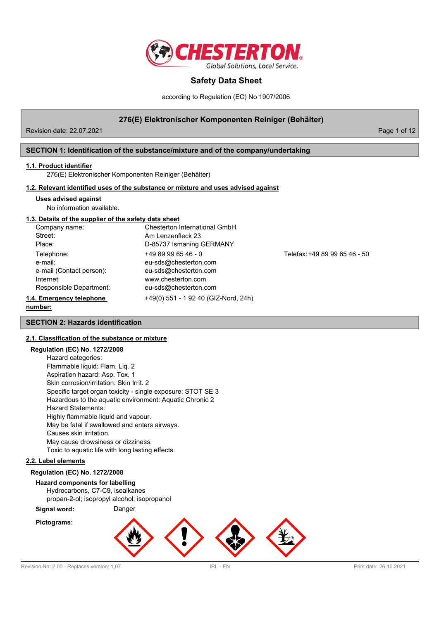

according to Regulation (EC) No 1907/2006

# **276(E) Elektronischer Komponenten Reiniger (Behälter)**

Revision date: 22.07.2021 **Page 1 of 12** 

# **SECTION 1: Identification of the substance/mixture and of the company/undertaking**

#### **1.1. Product identifier**

276(E) Elektronischer Komponenten Reiniger (Behälter)

#### **1.2. Relevant identified uses of the substance or mixture and uses advised against**

#### **Uses advised against**

No information available.

#### **1.3. Details of the supplier of the safety data sheet**

| Company name:            | Chesterton International GmbH        |    |
|--------------------------|--------------------------------------|----|
| Street:                  | Am Lenzenfleck 23                    |    |
| Place:                   | D-85737 Ismaning GERMANY             |    |
| Telephone:               | +49 89 99 65 46 - 0                  | Te |
| e-mail:                  | eu-sds@chesterton.com                |    |
| e-mail (Contact person): | eu-sds@chesterton.com                |    |
| Internet:                | www.chesterton.com                   |    |
| Responsible Department:  | eu-sds@chesterton.com                |    |
| 1.4. Emergency telephone | +49(0) 551 - 1 92 40 (GIZ-Nord, 24h) |    |
|                          |                                      |    |

elefax: +49 89 99 65 46 - 50

# **number:**

# **SECTION 2: Hazards identification**

# **2.1. Classification of the substance or mixture**

# **Regulation (EC) No. 1272/2008**

| Hazard categories:                                          |
|-------------------------------------------------------------|
| Flammable liquid: Flam. Liq. 2                              |
| Aspiration hazard: Asp. Tox. 1                              |
| Skin corrosion/irritation: Skin Irrit. 2                    |
| Specific target organ toxicity - single exposure: STOT SE 3 |
| Hazardous to the aquatic environment: Aquatic Chronic 2     |
| Hazard Statements:                                          |
| Highly flammable liquid and vapour.                         |
| May be fatal if swallowed and enters airways.               |
| Causes skin irritation.                                     |
| May cause drowsiness or dizziness.                          |
| Toxic to aquatic life with long lasting effects.            |
|                                                             |

#### **2.2. Label elements**

## **Regulation (EC) No. 1272/2008**

#### **Hazard components for labelling**

Hydrocarbons, C7-C9, isoalkanes propan-2-ol; isopropyl alcohol; isopropanol

**Signal word:** Danger

# **Pictograms:**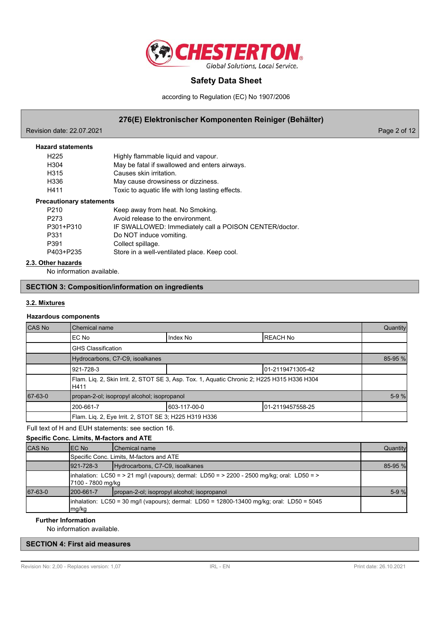

according to Regulation (EC) No 1907/2006

# **276(E) Elektronischer Komponenten Reiniger (Behälter)**

Revision date: 22.07.2021 **Page 2 of 12** 

| <b>Hazard statements</b>        |                                                        |
|---------------------------------|--------------------------------------------------------|
| H <sub>225</sub>                | Highly flammable liquid and vapour.                    |
| H <sub>304</sub>                | May be fatal if swallowed and enters airways.          |
| H <sub>315</sub>                | Causes skin irritation.                                |
| H336                            | May cause drowsiness or dizziness.                     |
| H411                            | Toxic to aquatic life with long lasting effects.       |
| <b>Precautionary statements</b> |                                                        |
| P <sub>210</sub>                | Keep away from heat. No Smoking.                       |
| P273                            | Avoid release to the environment.                      |
| P301+P310                       | IF SWALLOWED: Immediately call a POISON CENTER/doctor. |
| P331                            | Do NOT induce vomiting.                                |
| P391                            | Collect spillage.                                      |
| P403+P235                       | Store in a well-ventilated place. Keep cool.           |

## **2.3. Other hazards**

No information available.

# **SECTION 3: Composition/information on ingredients**

#### **3.2. Mixtures**

# **Hazardous components**

| <b>CAS No</b> | Chemical name                                                                                       |              |                   | Quantity |  |
|---------------|-----------------------------------------------------------------------------------------------------|--------------|-------------------|----------|--|
|               | IEC No                                                                                              | Index No     | <b>REACH No</b>   |          |  |
|               | <b>GHS Classification</b>                                                                           |              |                   |          |  |
|               | Hydrocarbons, C7-C9, isoalkanes                                                                     |              |                   |          |  |
|               | 921-728-3                                                                                           |              | 101-2119471305-42 |          |  |
|               | Flam. Lig. 2, Skin Irrit. 2, STOT SE 3, Asp. Tox. 1, Aquatic Chronic 2; H225 H315 H336 H304<br>H411 |              |                   |          |  |
| 67-63-0       | propan-2-ol; isopropyl alcohol; isopropanol                                                         |              |                   | $5-9%$   |  |
|               | 200-661-7                                                                                           | 603-117-00-0 | 101-2119457558-25 |          |  |
|               | Flam. Lig. 2, Eye Irrit. 2, STOT SE 3; H225 H319 H336                                               |              |                   |          |  |

# Full text of H and EUH statements: see section 16.

**Specific Conc. Limits, M-factors and ATE**

| <b>CAS No</b> | IEC No                                                                                              | <b>IChemical name</b>                                                                       | Quantity |  |  |
|---------------|-----------------------------------------------------------------------------------------------------|---------------------------------------------------------------------------------------------|----------|--|--|
|               | Specific Conc. Limits, M-factors and ATE                                                            |                                                                                             |          |  |  |
|               | $1921 - 728 - 3$                                                                                    | Hydrocarbons, C7-C9, isoalkanes                                                             | 85-95 %  |  |  |
|               | 7100 - 7800 mg/kg                                                                                   | (inhalation: LC50 = > 21 mg/l (vapours); dermal: LD50 = > 2200 - 2500 mg/kg; oral: LD50 = > |          |  |  |
| 67-63-0       | 200-661-7                                                                                           | propan-2-ol; isopropyl alcohol; isopropanol                                                 | $5-9%$   |  |  |
|               | linhalation: LC50 = 30 mg/l (vapours); dermal: LD50 = 12800-13400 mg/kg; oral: LD50 = 5045<br>mg/kg |                                                                                             |          |  |  |

# **Further Information**

No information available.

# **SECTION 4: First aid measures**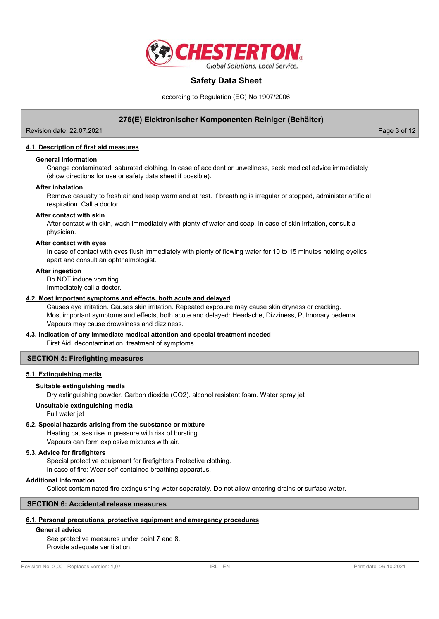

according to Regulation (EC) No 1907/2006

# **276(E) Elektronischer Komponenten Reiniger (Behälter)**

Revision date: 22.07.2021 Page 3 of 12

**4.1. Description of first aid measures**

#### **General information**

Change contaminated, saturated clothing. In case of accident or unwellness, seek medical advice immediately (show directions for use or safety data sheet if possible).

#### **After inhalation**

Remove casualty to fresh air and keep warm and at rest. If breathing is irregular or stopped, administer artificial respiration. Call a doctor.

#### **After contact with skin**

After contact with skin, wash immediately with plenty of water and soap. In case of skin irritation, consult a physician.

#### **After contact with eyes**

In case of contact with eyes flush immediately with plenty of flowing water for 10 to 15 minutes holding eyelids apart and consult an ophthalmologist.

#### **After ingestion**

Do NOT induce vomiting. Immediately call a doctor.

#### **4.2. Most important symptoms and effects, both acute and delayed**

Causes eye irritation. Causes skin irritation. Repeated exposure may cause skin dryness or cracking. Most important symptoms and effects, both acute and delayed: Headache, Dizziness, Pulmonary oedema Vapours may cause drowsiness and dizziness.

# **4.3. Indication of any immediate medical attention and special treatment needed**

First Aid, decontamination, treatment of symptoms.

## **SECTION 5: Firefighting measures**

#### **5.1. Extinguishing media**

#### **Suitable extinguishing media**

Dry extinguishing powder. Carbon dioxide (CO2). alcohol resistant foam. Water spray jet

#### **Unsuitable extinguishing media**

Full water jet

## **5.2. Special hazards arising from the substance or mixture**

Heating causes rise in pressure with risk of bursting.

Vapours can form explosive mixtures with air.

# **5.3. Advice for firefighters**

Special protective equipment for firefighters Protective clothing. In case of fire: Wear self-contained breathing apparatus.

#### **Additional information**

Collect contaminated fire extinguishing water separately. Do not allow entering drains or surface water.

# **SECTION 6: Accidental release measures**

# **6.1. Personal precautions, protective equipment and emergency procedures**

# **General advice**

See protective measures under point 7 and 8. Provide adequate ventilation.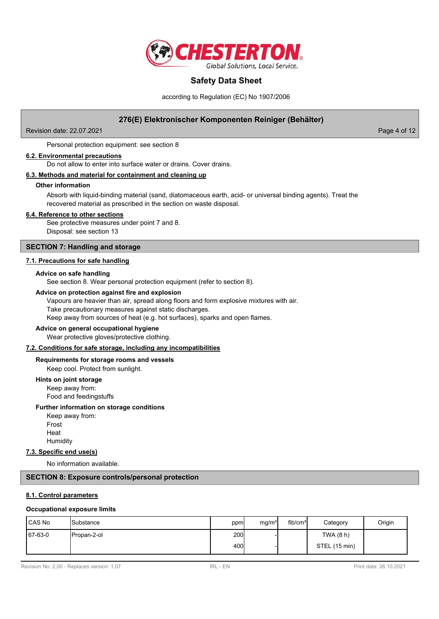

according to Regulation (EC) No 1907/2006

# **276(E) Elektronischer Komponenten Reiniger (Behälter)**

Revision date: 22.07.2021 **Page 4 of 12** 

Personal protection equipment: see section 8

#### **6.2. Environmental precautions**

Do not allow to enter into surface water or drains. Cover drains.

#### **6.3. Methods and material for containment and cleaning up**

#### **Other information**

Absorb with liquid-binding material (sand, diatomaceous earth, acid- or universal binding agents). Treat the recovered material as prescribed in the section on waste disposal.

#### **6.4. Reference to other sections**

See protective measures under point 7 and 8. Disposal: see section 13

#### **SECTION 7: Handling and storage**

# **7.1. Precautions for safe handling**

#### **Advice on safe handling**

See section 8. Wear personal protection equipment (refer to section 8).

#### **Advice on protection against fire and explosion**

Vapours are heavier than air, spread along floors and form explosive mixtures with air. Take precautionary measures against static discharges. Keep away from sources of heat (e.g. hot surfaces), sparks and open flames.

## **Advice on general occupational hygiene**

Wear protective gloves/protective clothing.

#### **7.2. Conditions for safe storage, including any incompatibilities**

# **Requirements for storage rooms and vessels**

Keep cool. Protect from sunlight.

## **Hints on joint storage**

Keep away from: Food and feedingstuffs

#### **Further information on storage conditions**

Keep away from: Frost Heat **Humidity** 

#### **7.3. Specific end use(s)**

No information available.

#### **SECTION 8: Exposure controls/personal protection**

# **8.1. Control parameters**

#### **Occupational exposure limits**

| <b>ICAS No</b> | <b>I</b> Substance | ppm  | mg/m <sup>3</sup> | fib/cm <sup>3</sup> | Category      | Origin |
|----------------|--------------------|------|-------------------|---------------------|---------------|--------|
| 67-63-0        | Propan-2-ol        | 200l |                   |                     | TWA (8 h)     |        |
|                |                    | 400l |                   |                     | STEL (15 min) |        |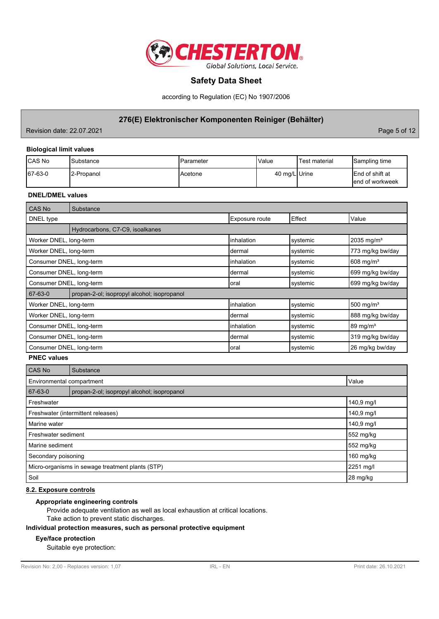

according to Regulation (EC) No 1907/2006

# **276(E) Elektronischer Komponenten Reiniger (Behälter)**

Revision date: 22.07.2021 **Page 5 of 12** 

# **Biological limit values**

| <b>ICAS No</b> | Substance   | IParameter      | <b>Value</b>  | 'Test material | Sampling time                               |
|----------------|-------------|-----------------|---------------|----------------|---------------------------------------------|
| 67-63-0        | 12-Propanol | <b>IAcetone</b> | 40 mg/L Urine |                | <b>IEnd of shift at</b><br>lend of workweek |

# **DNEL/DMEL values**

| <b>CAS No</b>            | Substance                                   |                |          |                         |  |
|--------------------------|---------------------------------------------|----------------|----------|-------------------------|--|
| DNEL type                |                                             | Exposure route | Effect   | Value                   |  |
|                          | Hydrocarbons, C7-C9, isoalkanes             |                |          |                         |  |
| Worker DNEL, long-term   |                                             | linhalation    | systemic | 2035 mg/m <sup>3</sup>  |  |
| Worker DNEL, long-term   |                                             | Idermal        | systemic | 773 mg/kg bw/day        |  |
| Consumer DNEL, long-term |                                             | linhalation    | systemic | $608$ mg/m <sup>3</sup> |  |
| Consumer DNEL, long-term |                                             | Idermal        | systemic | 699 mg/kg bw/day        |  |
| Consumer DNEL, long-term |                                             | loral          | systemic | 699 mg/kg bw/day        |  |
| 67-63-0                  | propan-2-ol; isopropyl alcohol; isopropanol |                |          |                         |  |
| Worker DNEL, long-term   |                                             | linhalation    | systemic | 500 mg/m <sup>3</sup>   |  |
| Worker DNEL, long-term   |                                             | Idermal        | systemic | 888 mg/kg bw/day        |  |
| Consumer DNEL, long-term |                                             | linhalation    | systemic | $89 \text{ mg/m}^3$     |  |
| Consumer DNEL, long-term |                                             | Idermal        | systemic | 319 mg/kg bw/day        |  |
| Consumer DNEL, long-term |                                             | Ioral          | systemic | 26 mg/kg bw/day         |  |

**PNEC values**

| <b>CAS No</b>                                    | Substance                                   |             |  |  |  |
|--------------------------------------------------|---------------------------------------------|-------------|--|--|--|
|                                                  | Value<br>Environmental compartment          |             |  |  |  |
| 67-63-0                                          | propan-2-ol; isopropyl alcohol; isopropanol |             |  |  |  |
| Freshwater                                       |                                             | 140,9 mg/l  |  |  |  |
| Freshwater (intermittent releases)               | 140,9 mg/l                                  |             |  |  |  |
| Marine water                                     |                                             | 140,9 mg/l  |  |  |  |
| Freshwater sediment                              | 552 mg/kg                                   |             |  |  |  |
| Marine sediment                                  |                                             | 552 mg/kg   |  |  |  |
| Secondary poisoning                              |                                             | $160$ mg/kg |  |  |  |
| Micro-organisms in sewage treatment plants (STP) |                                             | 2251 mg/l   |  |  |  |
| Soil                                             |                                             | 28 mg/kg    |  |  |  |

# **8.2. Exposure controls**

#### **Appropriate engineering controls**

Provide adequate ventilation as well as local exhaustion at critical locations.

Take action to prevent static discharges.

# **Individual protection measures, such as personal protective equipment**

#### **Eye/face protection**

Suitable eye protection: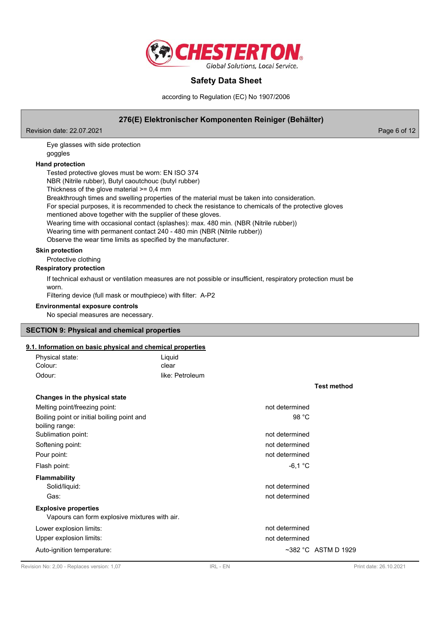

according to Regulation (EC) No 1907/2006

# **276(E) Elektronischer Komponenten Reiniger (Behälter)**

Revision date: 22.07.2021 **Page 6 of 12** Page 6 of 12

Eye glasses with side protection goggles

# **Hand protection**

Tested protective gloves must be worn: EN ISO 374

NBR (Nitrile rubber), Butyl caoutchouc (butyl rubber)

Thickness of the glove material >= 0,4 mm

Breakthrough times and swelling properties of the material must be taken into consideration.

For special purposes, it is recommended to check the resistance to chemicals of the protective gloves

mentioned above together with the supplier of these gloves.

Wearing time with occasional contact (splashes): max. 480 min. (NBR (Nitrile rubber))

Wearing time with permanent contact 240 - 480 min (NBR (Nitrile rubber))

Observe the wear time limits as specified by the manufacturer.

# **Skin protection**

Protective clothing

## **Respiratory protection**

If technical exhaust or ventilation measures are not possible or insufficient, respiratory protection must be worn.

Filtering device (full mask or mouthpiece) with filter: A-P2

# **Environmental exposure controls**

No special measures are necessary.

## **SECTION 9: Physical and chemical properties**

# **9.1. Information on basic physical and chemical properties**

| Physical state:                               | Liquid          |                |                           |
|-----------------------------------------------|-----------------|----------------|---------------------------|
| Colour:                                       | clear           |                |                           |
| Odour:                                        | like: Petroleum |                |                           |
|                                               |                 |                | <b>Test method</b>        |
| Changes in the physical state                 |                 |                |                           |
| Melting point/freezing point:                 |                 | not determined |                           |
| Boiling point or initial boiling point and    |                 | 98 °C          |                           |
| boiling range:                                |                 |                |                           |
| Sublimation point:                            |                 | not determined |                           |
| Softening point:                              |                 | not determined |                           |
| Pour point:                                   |                 | not determined |                           |
| Flash point:                                  |                 | $-6,1$ °C      |                           |
| <b>Flammability</b>                           |                 |                |                           |
| Solid/liquid:                                 |                 | not determined |                           |
| Gas:                                          |                 | not determined |                           |
| <b>Explosive properties</b>                   |                 |                |                           |
| Vapours can form explosive mixtures with air. |                 |                |                           |
| Lower explosion limits:                       |                 | not determined |                           |
| Upper explosion limits:                       |                 | not determined |                           |
| Auto-ignition temperature:                    |                 |                | $\sim$ 382 °C ASTM D 1929 |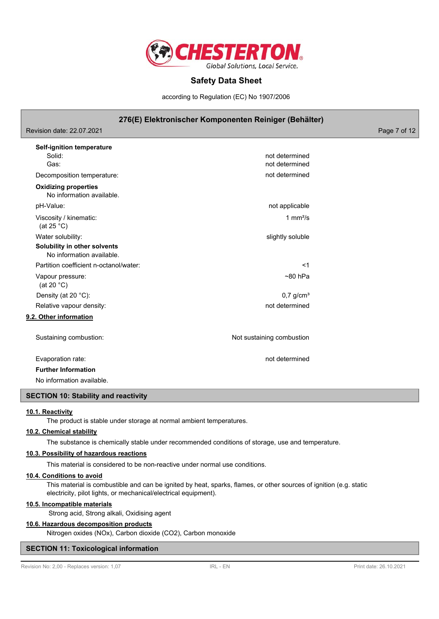

according to Regulation (EC) No 1907/2006

# **276(E) Elektronischer Komponenten Reiniger (Behälter)**

Revision date: 22.07.2021 **Page 7 of 12** and 2012 **Page 7 of 12** 

| <b>Self-ignition temperature</b><br>Solid:<br>Gas:        | not determined<br>not determined |
|-----------------------------------------------------------|----------------------------------|
| Decomposition temperature:                                | not determined                   |
| <b>Oxidizing properties</b><br>No information available.  |                                  |
| pH-Value:                                                 | not applicable                   |
| Viscosity / kinematic:<br>(at 25 $^{\circ}$ C)            | 1 $mm2/s$                        |
| Water solubility:                                         | slightly soluble                 |
| Solubility in other solvents<br>No information available. |                                  |
| Partition coefficient n-octanol/water:                    | $<$ 1                            |
| Vapour pressure:<br>(at 20 $°C$ )                         | $~80$ hPa                        |
| Density (at 20 °C):                                       | $0.7$ g/cm <sup>3</sup>          |
| Relative vapour density:                                  | not determined                   |
| 9.2. Other information                                    |                                  |
| Sustaining combustion:                                    | Not sustaining combustion        |
| Evaporation rate:                                         | not determined                   |
| <b>Further Information</b>                                |                                  |
| No information available.                                 |                                  |

#### **SECTION 10: Stability and reactivity**

#### **10.1. Reactivity**

The product is stable under storage at normal ambient temperatures.

# **10.2. Chemical stability**

The substance is chemically stable under recommended conditions of storage, use and temperature.

#### **10.3. Possibility of hazardous reactions**

This material is considered to be non-reactive under normal use conditions.

#### **10.4. Conditions to avoid**

This material is combustible and can be ignited by heat, sparks, flames, or other sources of ignition (e.g. static electricity, pilot lights, or mechanical/electrical equipment).

#### **10.5. Incompatible materials**

Strong acid, Strong alkali, Oxidising agent

## **10.6. Hazardous decomposition products**

Nitrogen oxides (NOx), Carbon dioxide (CO2), Carbon monoxide

#### **SECTION 11: Toxicological information**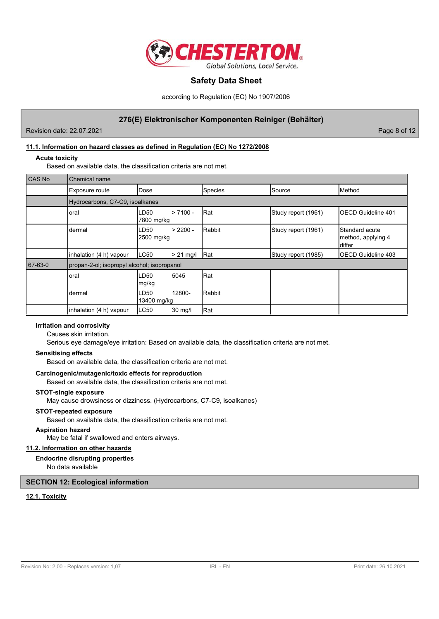

according to Regulation (EC) No 1907/2006

# **276(E) Elektronischer Komponenten Reiniger (Behälter)**

Revision date: 22.07.2021 **Page 8 of 12** and 2011 **Page 8 of 12** 

# **11.1. Information on hazard classes as defined in Regulation (EC) No 1272/2008**

#### **Acute toxicity**

Based on available data, the classification criteria are not met.

| <b>CAS No</b> | Chemical name                               |                                  |         |                     |                                                          |  |
|---------------|---------------------------------------------|----------------------------------|---------|---------------------|----------------------------------------------------------|--|
|               | Exposure route                              | Dose                             | Species | Source              | Method                                                   |  |
|               | Hydrocarbons, C7-C9, isoalkanes             |                                  |         |                     |                                                          |  |
|               | oral                                        | $> 7100 -$<br>LD50<br>7800 mg/kg | Rat     | Study report (1961) | <b>IOECD Guideline 401</b>                               |  |
|               | dermal                                      | $> 2200 -$<br>LD50<br>2500 mg/kg | Rabbit  | Study report (1961) | <b>I</b> Standard acute<br>method, applying 4<br>ldiffer |  |
|               | inhalation (4 h) vapour                     | LC50<br>$> 21$ mg/l              | Rat     | Study report (1985) | <b>IOECD Guideline 403</b>                               |  |
| 67-63-0       | propan-2-ol; isopropyl alcohol; isopropanol |                                  |         |                     |                                                          |  |
|               | oral                                        | LD50<br>5045<br>mg/kg            | Rat     |                     |                                                          |  |
|               | dermal                                      | 12800-<br>LD50<br>13400 mg/kg    | Rabbit  |                     |                                                          |  |
|               | inhalation (4 h) vapour                     | LC50<br>30 mg/l                  | Rat     |                     |                                                          |  |

## **Irritation and corrosivity**

Causes skin irritation.

Serious eye damage/eye irritation: Based on available data, the classification criteria are not met.

# **Sensitising effects**

Based on available data, the classification criteria are not met.

## **Carcinogenic/mutagenic/toxic effects for reproduction**

Based on available data, the classification criteria are not met.

#### **STOT-single exposure**

May cause drowsiness or dizziness. (Hydrocarbons, C7-C9, isoalkanes)

#### **STOT-repeated exposure**

Based on available data, the classification criteria are not met.

#### **Aspiration hazard**

May be fatal if swallowed and enters airways.

# **11.2. Information on other hazards**

## **Endocrine disrupting properties**

No data available

## **SECTION 12: Ecological information**

## **12.1. Toxicity**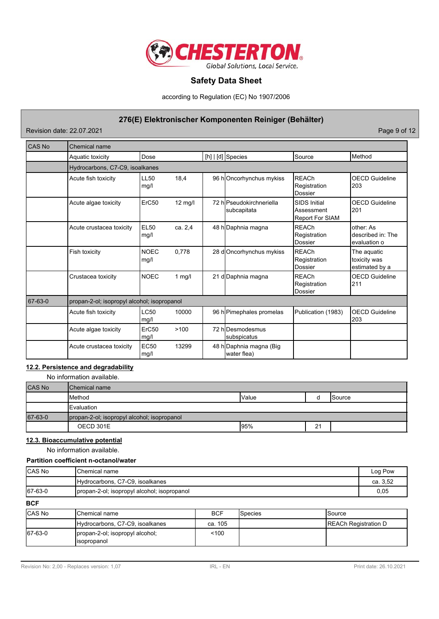

according to Regulation (EC) No 1907/2006

# **276(E) Elektronischer Komponenten Reiniger (Behälter)**

Revision date: 22.07.2021 **Page 9 of 12** 

| CAS No  | <b>Chemical name</b>                        |                     |          |  |                                         |                                                             |                                                |
|---------|---------------------------------------------|---------------------|----------|--|-----------------------------------------|-------------------------------------------------------------|------------------------------------------------|
|         | Aquatic toxicity                            | Dose                |          |  | $[h]   [d]$ Species                     | Source                                                      | Method                                         |
|         | Hydrocarbons, C7-C9, isoalkanes             |                     |          |  |                                         |                                                             |                                                |
|         | Acute fish toxicity                         | <b>LL50</b><br>mq/l | 18,4     |  | 96 hOncorhynchus mykiss                 | <b>REACh</b><br>Registration<br><b>Dossier</b>              | <b>OECD Guideline</b><br>203                   |
|         | Acute algae toxicity                        | ErC50               | 12 mg/l  |  | 72 hlPseudokirchneriella<br>subcapitata | <b>SIDS Initial</b><br>Assessment<br><b>Report For SIAM</b> | <b>OECD Guideline</b><br>201                   |
|         | Acute crustacea toxicity                    | <b>EL50</b><br>mg/l | ca. 2,4  |  | 48 h Daphnia magna                      | <b>REACh</b><br>Registration<br>Dossier                     | other: As<br>described in: The<br>evaluation o |
|         | Fish toxicity                               | <b>NOEC</b><br>mg/l | 0.778    |  | 28 d Oncorhynchus mykiss                | <b>REACh</b><br>Registration<br><b>Dossier</b>              | The aquatic<br>toxicity was<br>estimated by a  |
|         | Crustacea toxicity                          | <b>NOEC</b>         | 1 $mg/l$ |  | 21 d Daphnia magna                      | <b>REACh</b><br>Registration<br><b>Dossier</b>              | <b>OECD Guideline</b><br>211                   |
| 67-63-0 | propan-2-ol; isopropyl alcohol; isopropanol |                     |          |  |                                         |                                                             |                                                |
|         | Acute fish toxicity                         | LC50<br>mg/l        | 10000    |  | 96 h Pimephales promelas                | Publication (1983)                                          | <b>OECD Guideline</b><br>203                   |
|         | Acute algae toxicity                        | ErC50<br>mg/l       | >100     |  | 72 hlDesmodesmus<br>subspicatus         |                                                             |                                                |
|         | Acute crustacea toxicity                    | <b>EC50</b><br>mg/l | 13299    |  | 48 h Daphnia magna (Big<br>water flea)  |                                                             |                                                |

# **12.2. Persistence and degradability**

No information available.

| <b>CAS No</b> | <b>IChemical name</b>                       |              |    |                 |
|---------------|---------------------------------------------|--------------|----|-----------------|
|               | <b>I</b> Method                             | <b>Value</b> |    | <b>I</b> Source |
|               | <b>I</b> Evaluation                         |              |    |                 |
| 67-63-0       | propan-2-ol; isopropyl alcohol; isopropanol |              |    |                 |
|               | OECD 301E                                   | 195%         | 21 |                 |

# **12.3. Bioaccumulative potential**

No information available.

# **Partition coefficient n-octanol/water**

| <b>CAS No</b> | lChemical name                               | Log Pow  |
|---------------|----------------------------------------------|----------|
|               | Hydrocarbons, C7-C9, isoalkanes              | ca. 3.52 |
| 67-63-0       | (propan-2-ol; isopropyl alcohol; isopropanol | 0.05     |

**BCF**

| <b>CAS No</b> | <b>I</b> Chemical name                          | <b>BCF</b> | <b>I</b> Species | <b>Source</b>               |
|---------------|-------------------------------------------------|------------|------------------|-----------------------------|
|               | Hydrocarbons, C7-C9, isoalkanes                 | ca. 105    |                  | <b>REACh Registration D</b> |
| 67-63-0       | propan-2-ol; isopropyl alcohol;<br>lisopropanol | 100        |                  |                             |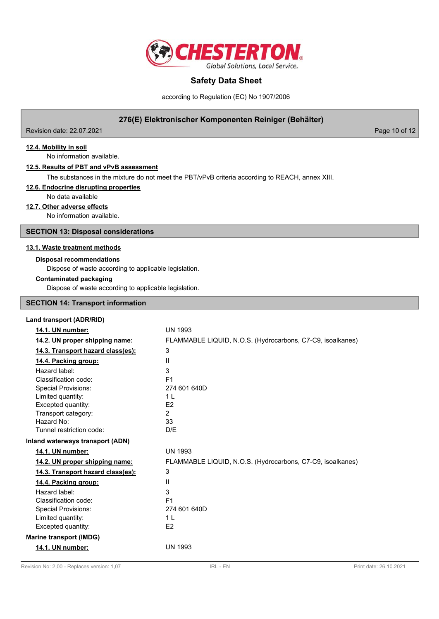

according to Regulation (EC) No 1907/2006

# **276(E) Elektronischer Komponenten Reiniger (Behälter)**

Revision date: 22.07.2021 **Page 10 of 12** 

**12.4. Mobility in soil**

No information available.

#### **12.5. Results of PBT and vPvB assessment**

The substances in the mixture do not meet the PBT/vPvB criteria according to REACH, annex XIII.

#### **12.6. Endocrine disrupting properties**

No data available

## **12.7. Other adverse effects**

No information available.

**SECTION 13: Disposal considerations**

#### **13.1. Waste treatment methods**

#### **Disposal recommendations**

Dispose of waste according to applicable legislation.

#### **Contaminated packaging**

Dispose of waste according to applicable legislation.

#### **SECTION 14: Transport information**

| Land transport (ADR/RID)          |                                                            |
|-----------------------------------|------------------------------------------------------------|
| 14.1. UN number:                  | <b>UN 1993</b>                                             |
| 14.2. UN proper shipping name:    | FLAMMABLE LIQUID, N.O.S. (Hydrocarbons, C7-C9, isoalkanes) |
| 14.3. Transport hazard class(es): | 3                                                          |
| 14.4. Packing group:              | $\mathbf{H}$                                               |
| Hazard label:                     | 3                                                          |
| Classification code:              | F <sub>1</sub>                                             |
| <b>Special Provisions:</b>        | 274 601 640D                                               |
| Limited quantity:                 | 1 L                                                        |
| Excepted quantity:                | E <sub>2</sub>                                             |
| Transport category:               | $\overline{2}$                                             |
| Hazard No:                        | 33                                                         |
| Tunnel restriction code:          | D/E                                                        |
| Inland waterways transport (ADN)  |                                                            |
| 14.1. UN number:                  | <b>UN 1993</b>                                             |
| 14.2. UN proper shipping name:    | FLAMMABLE LIQUID, N.O.S. (Hydrocarbons, C7-C9, isoalkanes) |
| 14.3. Transport hazard class(es): | 3                                                          |
| 14.4. Packing group:              | Ш                                                          |
| Hazard label:                     | 3                                                          |
| Classification code:              | F <sub>1</sub>                                             |
| <b>Special Provisions:</b>        | 274 601 640D                                               |
| Limited quantity:                 | 1 <sup>L</sup>                                             |
| Excepted quantity:                | E <sub>2</sub>                                             |
| <b>Marine transport (IMDG)</b>    |                                                            |
| 14.1. UN number:                  | <b>UN 1993</b>                                             |
|                                   |                                                            |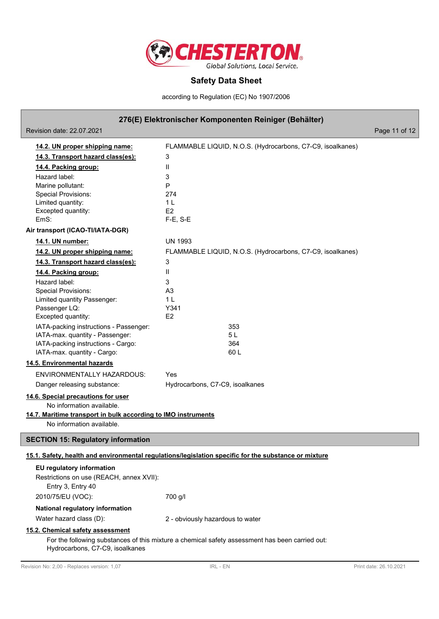

according to Regulation (EC) No 1907/2006

# **276(E) Elektronischer Komponenten Reiniger (Behälter)**

Revision date: 22.07.2021 **Page 11 of 12** 

| 14.2. UN proper shipping name:                                            | FLAMMABLE LIQUID, N.O.S. (Hydrocarbons, C7-C9, isoalkanes)                                           |
|---------------------------------------------------------------------------|------------------------------------------------------------------------------------------------------|
| 14.3. Transport hazard class(es):                                         | 3                                                                                                    |
| 14.4. Packing group:                                                      | $\mathbf{H}$                                                                                         |
| Hazard label:                                                             | 3                                                                                                    |
| Marine pollutant:                                                         | P                                                                                                    |
| <b>Special Provisions:</b>                                                | 274                                                                                                  |
| Limited quantity:                                                         | 1 <sub>L</sub>                                                                                       |
| Excepted quantity:<br>EmS:                                                | E2                                                                                                   |
|                                                                           | $F-E$ , S-E                                                                                          |
| Air transport (ICAO-TI/IATA-DGR)                                          |                                                                                                      |
| 14.1. UN number:                                                          | <b>UN 1993</b>                                                                                       |
| 14.2. UN proper shipping name:                                            | FLAMMABLE LIQUID, N.O.S. (Hydrocarbons, C7-C9, isoalkanes)                                           |
| 14.3. Transport hazard class(es):                                         | 3                                                                                                    |
| 14.4. Packing group:                                                      | $\mathbf{H}$                                                                                         |
| Hazard label:                                                             | 3                                                                                                    |
| <b>Special Provisions:</b>                                                | A <sub>3</sub>                                                                                       |
| Limited quantity Passenger:                                               | 1 <sub>L</sub>                                                                                       |
| Passenger LQ:                                                             | Y341<br>E <sub>2</sub>                                                                               |
| Excepted quantity:                                                        |                                                                                                      |
| IATA-packing instructions - Passenger:<br>IATA-max. quantity - Passenger: | 353<br>5L                                                                                            |
| IATA-packing instructions - Cargo:                                        | 364                                                                                                  |
| IATA-max. quantity - Cargo:                                               | 60L                                                                                                  |
| 14.5. Environmental hazards                                               |                                                                                                      |
| <b>ENVIRONMENTALLY HAZARDOUS:</b>                                         | Yes                                                                                                  |
| Danger releasing substance:                                               | Hydrocarbons, C7-C9, isoalkanes                                                                      |
| 14.6. Special precautions for user                                        |                                                                                                      |
| No information available.                                                 |                                                                                                      |
| 14.7. Maritime transport in bulk according to IMO instruments             |                                                                                                      |
| No information available.                                                 |                                                                                                      |
|                                                                           |                                                                                                      |
| <b>SECTION 15: Regulatory information</b>                                 |                                                                                                      |
|                                                                           | 15.1. Safety, health and environmental regulations/legislation specific for the substance or mixture |
| EU regulatory information                                                 |                                                                                                      |
| Restrictions on use (REACH, annex XVII):                                  |                                                                                                      |
| Entry 3, Entry 40                                                         |                                                                                                      |
| 2010/75/EU (VOC):                                                         | 700 g/l                                                                                              |
| National regulatory information                                           |                                                                                                      |
| Water hazard class (D):                                                   | 2 - obviously hazardous to water                                                                     |
| 15.2. Chemical safety assessment                                          |                                                                                                      |
|                                                                           | For the following substances of this mixture a chemical safety assessment has been carried out:      |
| Hydrocarbons, C7-C9, isoalkanes                                           |                                                                                                      |